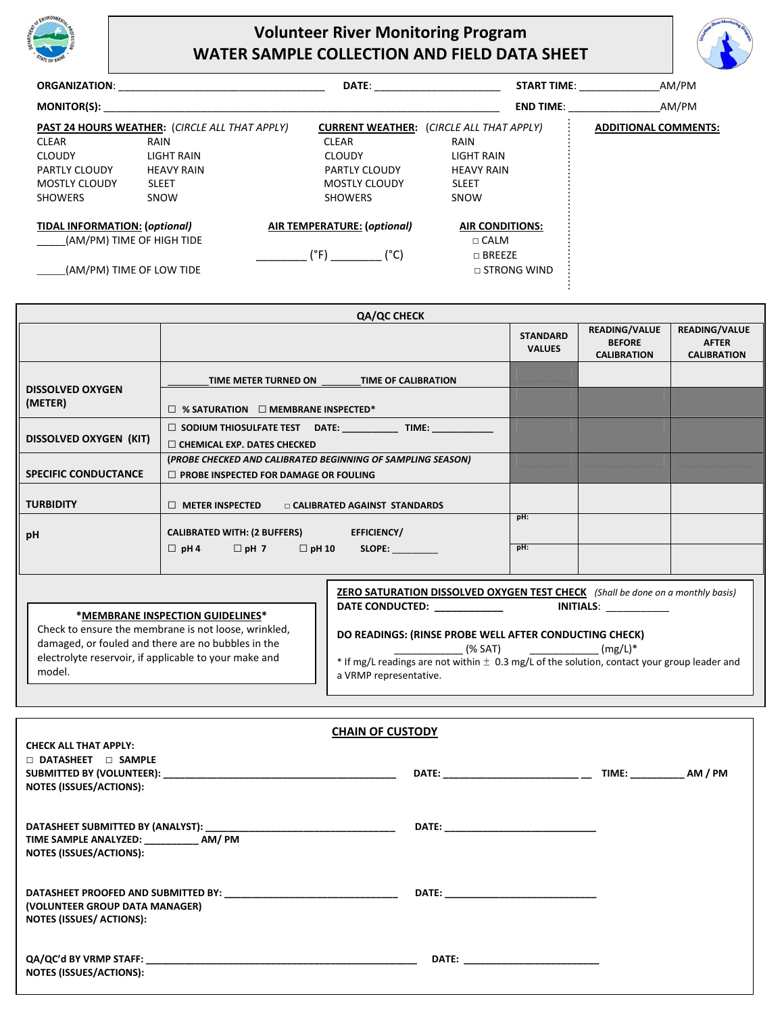

## **Volunteer River Monitoring Program WATER SAMPLE COLLECTION AND FIELD DATA SHEET**



| <b>ORGANIZATION:</b>                 |                                                       | <b>DATE:</b>                | <b>START TIME:</b>                              | AM/PM                       |
|--------------------------------------|-------------------------------------------------------|-----------------------------|-------------------------------------------------|-----------------------------|
| <b>MONITOR(S):</b>                   |                                                       |                             | <b>END TIME:</b>                                | AM/PM                       |
|                                      | <b>PAST 24 HOURS WEATHER: (CIRCLE ALL THAT APPLY)</b> |                             | <b>CURRENT WEATHER: (CIRCLE ALL THAT APPLY)</b> | <b>ADDITIONAL COMMENTS:</b> |
| <b>CLEAR</b>                         | RAIN                                                  | <b>CLEAR</b>                | <b>RAIN</b>                                     |                             |
| <b>CLOUDY</b>                        | LIGHT RAIN                                            | <b>CLOUDY</b>               | LIGHT RAIN                                      |                             |
| <b>PARTLY CLOUDY</b>                 | <b>HEAVY RAIN</b>                                     | <b>PARTLY CLOUDY</b>        | <b>HEAVY RAIN</b>                               |                             |
| <b>MOSTLY CLOUDY</b>                 | <b>SLEET</b>                                          | <b>MOSTLY CLOUDY</b>        | <b>SLEET</b>                                    |                             |
| <b>SHOWERS</b>                       | SNOW                                                  | <b>SHOWERS</b>              | SNOW                                            |                             |
| <b>TIDAL INFORMATION: (optional)</b> |                                                       | AIR TEMPERATURE: (optional) | <b>AIR CONDITIONS:</b>                          |                             |
| (AM/PM) TIME OF HIGH TIDE            |                                                       |                             | $\Box$ CALM                                     |                             |
| (AM/PM) TIME OF LOW TIDE             |                                                       | $(^\circ$ F)<br>(°C)        | $\Box$ BREEZE<br>$\Box$ STRONG WIND             |                             |

|                             | <b>QA/QC CHECK</b>                                                                                           |                                  |                                                             |                                                     |
|-----------------------------|--------------------------------------------------------------------------------------------------------------|----------------------------------|-------------------------------------------------------------|-----------------------------------------------------|
|                             |                                                                                                              | <b>STANDARD</b><br><b>VALUES</b> | <b>READING/VALUE</b><br><b>BEFORE</b><br><b>CALIBRATION</b> | READING/VALUE<br><b>AFTER</b><br><b>CALIBRATION</b> |
| <b>DISSOLVED OXYGEN</b>     | <b>TIME OF CALIBRATION</b><br>TIME METER TURNED ON                                                           |                                  |                                                             |                                                     |
| (METER)                     | $\Box$ % SATURATION $\Box$ MEMBRANE INSPECTED*                                                               |                                  |                                                             |                                                     |
| DISSOLVED OXYGEN (KIT)      | $\Box$ SODIUM THIOSULFATE TEST DATE: ______________ TIME: ____________<br>$\Box$ CHEMICAL EXP. DATES CHECKED |                                  |                                                             |                                                     |
| <b>SPECIFIC CONDUCTANCE</b> | (PROBE CHECKED AND CALIBRATED BEGINNING OF SAMPLING SEASON)<br>$\Box$ PROBE INSPECTED FOR DAMAGE OR FOULING  |                                  |                                                             |                                                     |
| <b>TURBIDITY</b>            | $\Box$ METER INSPECTED<br><b>DE CALIBRATED AGAINST STANDARDS</b>                                             |                                  |                                                             |                                                     |
| рH                          | <b>CALIBRATED WITH: (2 BUFFERS)</b><br><b>EFFICIENCY/</b>                                                    | pH:                              |                                                             |                                                     |
|                             | $\Box$ pH 7 $\Box$ pH 10<br>$\Box$ pH 4<br>SLOPE:                                                            | pH:                              |                                                             |                                                     |

| *MEMBRANE INSPECTION GUIDELINES*                                                                                                                                              | ZERO SATURATION DISSOLVED OXYGEN TEST CHECK (Shall be done on a monthly basis)<br>DATE CONDUCTED:<br><b>INITIALS:</b>                                                                                        |
|-------------------------------------------------------------------------------------------------------------------------------------------------------------------------------|--------------------------------------------------------------------------------------------------------------------------------------------------------------------------------------------------------------|
| Check to ensure the membrane is not loose, wrinkled,<br>damaged, or fouled and there are no bubbles in the<br>electrolyte reservoir, if applicable to your make and<br>model. | DO READINGS: (RINSE PROBE WELL AFTER CONDUCTING CHECK)<br>$(mg/L)^*$<br>(% SAT)<br>* If mg/L readings are not within $\pm$ 0.3 mg/L of the solution, contact your group leader and<br>a VRMP representative. |

| <b>CHAIN OF CUSTODY</b>                                                                                                                          |                                                                                                                                                                                                                                     |                             |  |  |  |  |  |
|--------------------------------------------------------------------------------------------------------------------------------------------------|-------------------------------------------------------------------------------------------------------------------------------------------------------------------------------------------------------------------------------------|-----------------------------|--|--|--|--|--|
| <b>CHECK ALL THAT APPLY:</b>                                                                                                                     |                                                                                                                                                                                                                                     |                             |  |  |  |  |  |
| $\Box$ DATASHEET $\Box$ SAMPLE                                                                                                                   |                                                                                                                                                                                                                                     |                             |  |  |  |  |  |
|                                                                                                                                                  | DATE: ________________________________                                                                                                                                                                                              | TIME: _____________ AM / PM |  |  |  |  |  |
| <b>NOTES (ISSUES/ACTIONS):</b>                                                                                                                   |                                                                                                                                                                                                                                     |                             |  |  |  |  |  |
| TIME SAMPLE ANALYZED: ____________ AM/ PM<br><b>NOTES (ISSUES/ACTIONS):</b>                                                                      |                                                                                                                                                                                                                                     |                             |  |  |  |  |  |
| (VOLUNTEER GROUP DATA MANAGER)<br><b>NOTES (ISSUES/ ACTIONS):</b>                                                                                | <b>DATE:</b> the contract of the contract of the contract of the contract of the contract of the contract of the contract of the contract of the contract of the contract of the contract of the contract of the contract of the co |                             |  |  |  |  |  |
| QA/QC'd BY VRMP STAFF: DESCRIPTION OF THE STATE OF THE STATE OF THE STATE OF THE STATE OF THE STATE OF THE STA<br><b>NOTES (ISSUES/ACTIONS):</b> |                                                                                                                                                                                                                                     |                             |  |  |  |  |  |